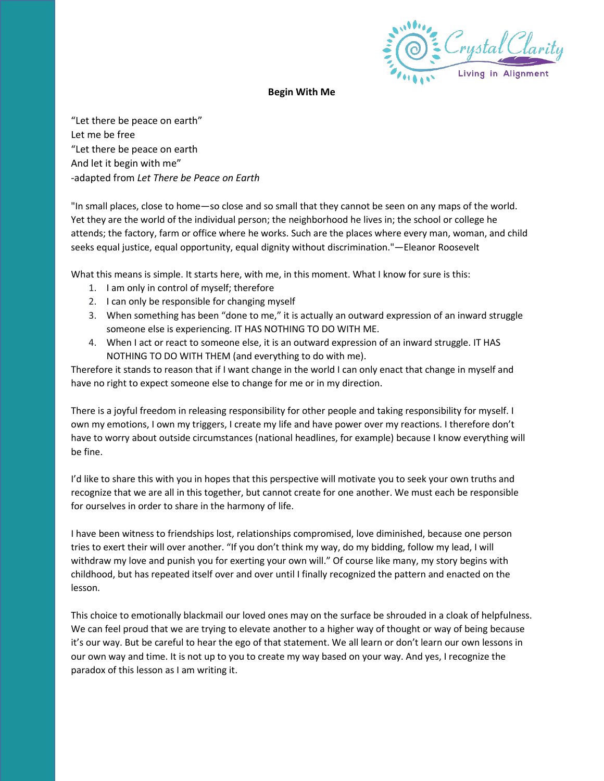

## **Begin With Me**

"Let there be peace on earth" Let me be free "Let there be peace on earth And let it begin with me" -adapted from *Let There be Peace on Earth*

"In small places, close to home—so close and so small that they cannot be seen on any maps of the world. Yet they are the world of the individual person; the neighborhood he lives in; the school or college he attends; the factory, farm or office where he works. Such are the places where every man, woman, and child seeks equal justice, equal opportunity, equal dignity without discrimination."—Eleanor Roosevelt

What this means is simple. It starts here, with me, in this moment. What I know for sure is this:

- 1. I am only in control of myself; therefore
- 2. I can only be responsible for changing myself
- 3. When something has been "done to me," it is actually an outward expression of an inward struggle someone else is experiencing. IT HAS NOTHING TO DO WITH ME.
- 4. When I act or react to someone else, it is an outward expression of an inward struggle. IT HAS NOTHING TO DO WITH THEM (and everything to do with me).

Therefore it stands to reason that if I want change in the world I can only enact that change in myself and have no right to expect someone else to change for me or in my direction.

There is a joyful freedom in releasing responsibility for other people and taking responsibility for myself. I own my emotions, I own my triggers, I create my life and have power over my reactions. I therefore don't have to worry about outside circumstances (national headlines, for example) because I know everything will be fine.

I'd like to share this with you in hopes that this perspective will motivate you to seek your own truths and recognize that we are all in this together, but cannot create for one another. We must each be responsible for ourselves in order to share in the harmony of life.

I have been witness to friendships lost, relationships compromised, love diminished, because one person tries to exert their will over another. "If you don't think my way, do my bidding, follow my lead, I will withdraw my love and punish you for exerting your own will." Of course like many, my story begins with childhood, but has repeated itself over and over until I finally recognized the pattern and enacted on the lesson.

This choice to emotionally blackmail our loved ones may on the surface be shrouded in a cloak of helpfulness. We can feel proud that we are trying to elevate another to a higher way of thought or way of being because it's our way. But be careful to hear the ego of that statement. We all learn or don't learn our own lessons in our own way and time. It is not up to you to create my way based on your way. And yes, I recognize the paradox of this lesson as I am writing it.